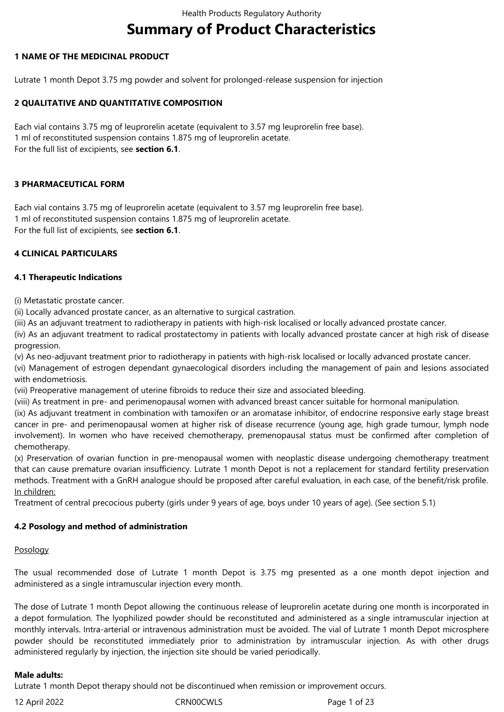# **Summary of Product Characteristics**

## **1 NAME OF THE MEDICINAL PRODUCT**

Lutrate 1 month Depot 3.75 mg powder and solvent for prolonged-release suspension for injection

## **2 QUALITATIVE AND QUANTITATIVE COMPOSITION**

Each vial contains 3.75 mg of leuprorelin acetate (equivalent to 3.57 mg leuprorelin free base). 1 ml of reconstituted suspension contains 1.875 mg of leuprorelin acetate. For the full list of excipients, see **section 6.1**.

## **3 PHARMACEUTICAL FORM**

Each vial contains 3.75 mg of leuprorelin acetate (equivalent to 3.57 mg leuprorelin free base). 1 ml of reconstituted suspension contains 1.875 mg of leuprorelin acetate. For the full list of excipients, see **section 6.1**.

## **4 CLINICAL PARTICULARS**

## **4.1 Therapeutic Indications**

(i) Metastatic prostate cancer.

(ii) Locally advanced prostate cancer, as an alternative to surgical castration.

(iii) As an adjuvant treatment to radiotherapy in patients with high-risk localised or locally advanced prostate cancer.

(iv) As an adjuvant treatment to radical prostatectomy in patients with locally advanced prostate cancer at high risk of disease progression.

(v) As neo-adjuvant treatment prior to radiotherapy in patients with high-risk localised or locally advanced prostate cancer.

(vi) Management of estrogen dependant gynaecological disorders including the management of pain and lesions associated with endometriosis.

(vii) Preoperative management of uterine fibroids to reduce their size and associated bleeding.

(viii) As treatment in pre- and perimenopausal women with advanced breast cancer suitable for hormonal manipulation.

(ix) As adjuvant treatment in combination with tamoxifen or an aromatase inhibitor, of endocrine responsive early stage breast cancer in pre- and perimenopausal women at higher risk of disease recurrence (young age, high grade tumour, lymph node involvement). In women who have received chemotherapy, premenopausal status must be confirmed after completion of chemotherapy.

(x) Preservation of ovarian function in pre-menopausal women with neoplastic disease undergoing chemotherapy treatment that can cause premature ovarian insufficiency. Lutrate 1 month Depot is not a replacement for standard fertility preservation methods. Treatment with a GnRH analogue should be proposed after careful evaluation, in each case, of the benefit/risk profile. In children:

Treatment of central precocious puberty (girls under 9 years of age, boys under 10 years of age). (See section 5.1)

## **4.2 Posology and method of administration**

## Posology

The usual recommended dose of Lutrate 1 month Depot is 3.75 mg presented as a one month depot injection and administered as a single intramuscular injection every month.

The dose of Lutrate 1 month Depot allowing the continuous release of leuprorelin acetate during one month is incorporated in a depot formulation. The lyophilized powder should be reconstituted and administered as a single intramuscular injection at monthly intervals. Intra-arterial or intravenous administration must be avoided. The vial of Lutrate 1 month Depot microsphere powder should be reconstituted immediately prior to administration by intramuscular injection. As with other drugs administered regularly by injection, the injection site should be varied periodically.

## **Male adults:**

Lutrate 1 month Depot therapy should not be discontinued when remission or improvement occurs.

12 April 2022 CRN00CWLS Page 1 of 23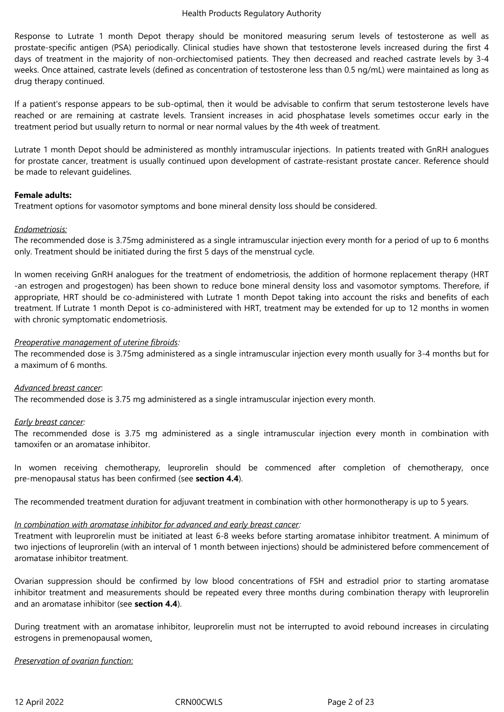Response to Lutrate 1 month Depot therapy should be monitored measuring serum levels of testosterone as well as prostate-specific antigen (PSA) periodically. Clinical studies have shown that testosterone levels increased during the first 4 days of treatment in the majority of non-orchiectomised patients. They then decreased and reached castrate levels by 3-4 weeks. Once attained, castrate levels (defined as concentration of testosterone less than 0.5 ng/mL) were maintained as long as drug therapy continued.

If a patient's response appears to be sub-optimal, then it would be advisable to confirm that serum testosterone levels have reached or are remaining at castrate levels. Transient increases in acid phosphatase levels sometimes occur early in the treatment period but usually return to normal or near normal values by the 4th week of treatment.

Lutrate 1 month Depot should be administered as monthly intramuscular injections. In patients treated with GnRH analogues for prostate cancer, treatment is usually continued upon development of castrate-resistant prostate cancer. Reference should be made to relevant guidelines.

## **Female adults:**

Treatment options for vasomotor symptoms and bone mineral density loss should be considered.

## *Endometriosis:*

The recommended dose is 3.75mg administered as a single intramuscular injection every month for a period of up to 6 months only. Treatment should be initiated during the first 5 days of the menstrual cycle.

In women receiving GnRH analogues for the treatment of endometriosis, the addition of hormone replacement therapy (HRT -an estrogen and progestogen) has been shown to reduce bone mineral density loss and vasomotor symptoms. Therefore, if appropriate, HRT should be co-administered with Lutrate 1 month Depot taking into account the risks and benefits of each treatment. If Lutrate 1 month Depot is co-administered with HRT, treatment may be extended for up to 12 months in women with chronic symptomatic endometriosis.

## *Preoperative management of uterine fibroids:*

The recommended dose is 3.75mg administered as a single intramuscular injection every month usually for 3-4 months but for a maximum of 6 months.

## *Advanced breast cancer*:

The recommended dose is 3.75 mg administered as a single intramuscular injection every month.

## *Early breast cancer:*

The recommended dose is 3.75 mg administered as a single intramuscular injection every month in combination with tamoxifen or an aromatase inhibitor.

In women receiving chemotherapy, leuprorelin should be commenced after completion of chemotherapy, once pre-menopausal status has been confirmed (see **section 4.4**).

The recommended treatment duration for adjuvant treatment in combination with other hormonotherapy is up to 5 years.

## *In combination with aromatase inhibitor for advanced and early breast cancer:*

Treatment with leuprorelin must be initiated at least 6-8 weeks before starting aromatase inhibitor treatment. A minimum of two injections of leuprorelin (with an interval of 1 month between injections) should be administered before commencement of aromatase inhibitor treatment.

Ovarian suppression should be confirmed by low blood concentrations of FSH and estradiol prior to starting aromatase inhibitor treatment and measurements should be repeated every three months during combination therapy with leuprorelin and an aromatase inhibitor (see **section 4.4**).

During treatment with an aromatase inhibitor, leuprorelin must not be interrupted to avoid rebound increases in circulating estrogens in premenopausal women.

## *Preservation of ovarian function*: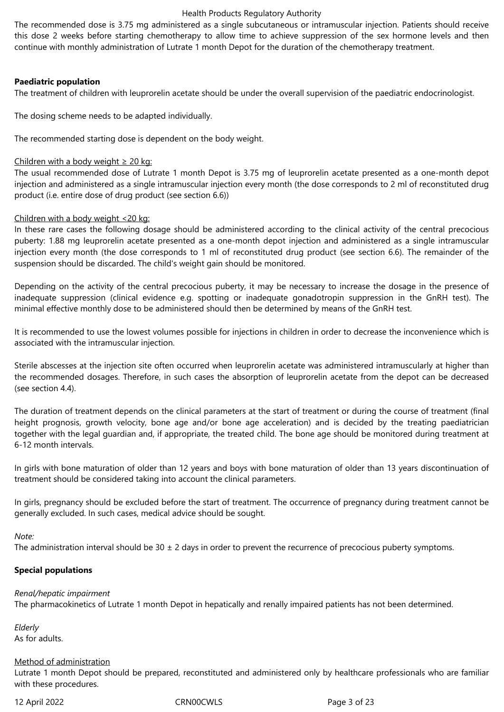The recommended dose is 3.75 mg administered as a single subcutaneous or intramuscular injection. Patients should receive this dose 2 weeks before starting chemotherapy to allow time to achieve suppression of the sex hormone levels and then continue with monthly administration of Lutrate 1 month Depot for the duration of the chemotherapy treatment.

## **Paediatric population**

The treatment of children with leuprorelin acetate should be under the overall supervision of the paediatric endocrinologist.

The dosing scheme needs to be adapted individually.

The recommended starting dose is dependent on the body weight.

## Children with a body weight  $\geq 20$  kg:

The usual recommended dose of Lutrate 1 month Depot is 3.75 mg of leuprorelin acetate presented as a one-month depot injection and administered as a single intramuscular injection every month (the dose corresponds to 2 ml of reconstituted drug product (i.e. entire dose of drug product (see section 6.6))

## Children with a body weight <20 kg:

In these rare cases the following dosage should be administered according to the clinical activity of the central precocious puberty: 1.88 mg leuprorelin acetate presented as a one-month depot injection and administered as a single intramuscular injection every month (the dose corresponds to 1 ml of reconstituted drug product (see section 6.6). The remainder of the suspension should be discarded. The child's weight gain should be monitored.

Depending on the activity of the central precocious puberty, it may be necessary to increase the dosage in the presence of inadequate suppression (clinical evidence e.g. spotting or inadequate gonadotropin suppression in the GnRH test). The minimal effective monthly dose to be administered should then be determined by means of the GnRH test.

It is recommended to use the lowest volumes possible for injections in children in order to decrease the inconvenience which is associated with the intramuscular injection.

Sterile abscesses at the injection site often occurred when leuprorelin acetate was administered intramuscularly at higher than the recommended dosages. Therefore, in such cases the absorption of leuprorelin acetate from the depot can be decreased (see section 4.4).

The duration of treatment depends on the clinical parameters at the start of treatment or during the course of treatment (final height prognosis, growth velocity, bone age and/or bone age acceleration) and is decided by the treating paediatrician together with the legal guardian and, if appropriate, the treated child. The bone age should be monitored during treatment at 6-12 month intervals.

In girls with bone maturation of older than 12 years and boys with bone maturation of older than 13 years discontinuation of treatment should be considered taking into account the clinical parameters.

In girls, pregnancy should be excluded before the start of treatment. The occurrence of pregnancy during treatment cannot be generally excluded. In such cases, medical advice should be sought.

## *Note:*

The administration interval should be  $30 \pm 2$  days in order to prevent the recurrence of precocious puberty symptoms.

## **Special populations**

## *Renal/hepatic impairment*

The pharmacokinetics of Lutrate 1 month Depot in hepatically and renally impaired patients has not been determined.

*Elderly*  As for adults.

# Method of administration

Lutrate 1 month Depot should be prepared, reconstituted and administered only by healthcare professionals who are familiar with these procedures.

## 12 April 2022 CRN00CWLS Page 3 of 23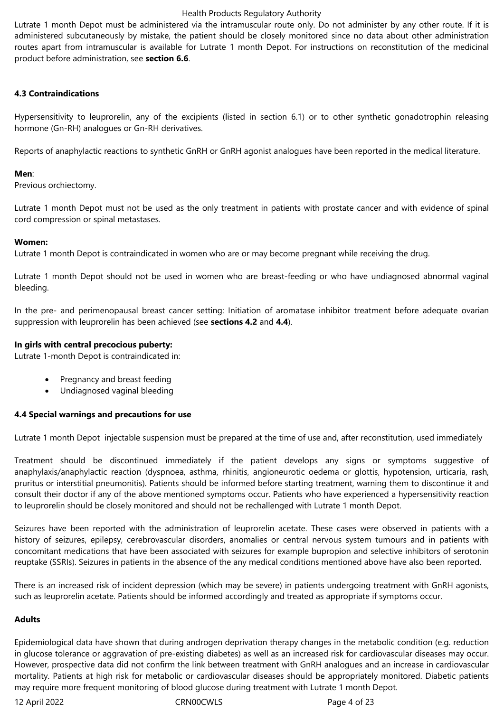Lutrate 1 month Depot must be administered via the intramuscular route only. Do not administer by any other route. If it is administered subcutaneously by mistake, the patient should be closely monitored since no data about other administration routes apart from intramuscular is available for Lutrate 1 month Depot. For instructions on reconstitution of the medicinal product before administration, see **section 6.6**.

## **4.3 Contraindications**

Hypersensitivity to leuprorelin, any of the excipients (listed in section 6.1) or to other synthetic gonadotrophin releasing hormone (Gn-RH) analogues or Gn-RH derivatives.

Reports of anaphylactic reactions to synthetic GnRH or GnRH agonist analogues have been reported in the medical literature.

## **Men**:

Previous orchiectomy.

Lutrate 1 month Depot must not be used as the only treatment in patients with prostate cancer and with evidence of spinal cord compression or spinal metastases.

## **Women:**

Lutrate 1 month Depot is contraindicated in women who are or may become pregnant while receiving the drug.

Lutrate 1 month Depot should not be used in women who are breast-feeding or who have undiagnosed abnormal vaginal bleeding.

In the pre- and perimenopausal breast cancer setting: Initiation of aromatase inhibitor treatment before adequate ovarian suppression with leuprorelin has been achieved (see **sections 4.2** and **4.4**).

## **In girls with central precocious puberty:**

Lutrate 1-month Depot is contraindicated in:

- Pregnancy and breast feeding
- Undiagnosed vaginal bleeding

## **4.4 Special warnings and precautions for use**

Lutrate 1 month Depot injectable suspension must be prepared at the time of use and, after reconstitution, used immediately

Treatment should be discontinued immediately if the patient develops any signs or symptoms suggestive of anaphylaxis/anaphylactic reaction (dyspnoea, asthma, rhinitis, angioneurotic oedema or glottis, hypotension, urticaria, rash, pruritus or interstitial pneumonitis). Patients should be informed before starting treatment, warning them to discontinue it and consult their doctor if any of the above mentioned symptoms occur. Patients who have experienced a hypersensitivity reaction to leuprorelin should be closely monitored and should not be rechallenged with Lutrate 1 month Depot.

Seizures have been reported with the administration of leuprorelin acetate. These cases were observed in patients with a history of seizures, epilepsy, cerebrovascular disorders, anomalies or central nervous system tumours and in patients with concomitant medications that have been associated with seizures for example bupropion and selective inhibitors of serotonin reuptake (SSRIs). Seizures in patients in the absence of the any medical conditions mentioned above have also been reported.

There is an increased risk of incident depression (which may be severe) in patients undergoing treatment with GnRH agonists, such as leuprorelin acetate. Patients should be informed accordingly and treated as appropriate if symptoms occur.

# **Adults**

Epidemiological data have shown that during androgen deprivation therapy changes in the metabolic condition (e.g. reduction in glucose tolerance or aggravation of pre-existing diabetes) as well as an increased risk for cardiovascular diseases may occur. However, prospective data did not confirm the link between treatment with GnRH analogues and an increase in cardiovascular mortality. Patients at high risk for metabolic or cardiovascular diseases should be appropriately monitored. Diabetic patients may require more frequent monitoring of blood glucose during treatment with Lutrate 1 month Depot.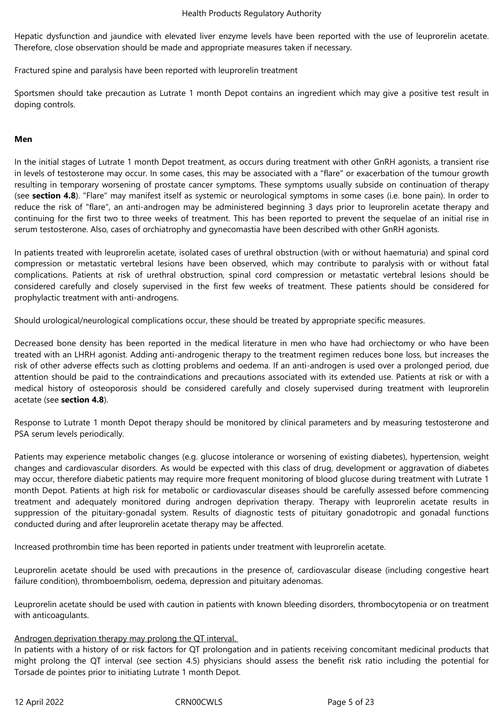Hepatic dysfunction and jaundice with elevated liver enzyme levels have been reported with the use of leuprorelin acetate. Therefore, close observation should be made and appropriate measures taken if necessary.

Fractured spine and paralysis have been reported with leuprorelin treatment

Sportsmen should take precaution as Lutrate 1 month Depot contains an ingredient which may give a positive test result in doping controls.

## **Men**

In the initial stages of Lutrate 1 month Depot treatment, as occurs during treatment with other GnRH agonists, a transient rise in levels of testosterone may occur. In some cases, this may be associated with a "flare" or exacerbation of the tumour growth resulting in temporary worsening of prostate cancer symptoms. These symptoms usually subside on continuation of therapy (see **section 4.8**). "Flare" may manifest itself as systemic or neurological symptoms in some cases (i.e. bone pain). In order to reduce the risk of "flare", an anti-androgen may be administered beginning 3 days prior to leuprorelin acetate therapy and continuing for the first two to three weeks of treatment. This has been reported to prevent the sequelae of an initial rise in serum testosterone. Also, cases of orchiatrophy and gynecomastia have been described with other GnRH agonists.

In patients treated with leuprorelin acetate, isolated cases of urethral obstruction (with or without haematuria) and spinal cord compression or metastatic vertebral lesions have been observed, which may contribute to paralysis with or without fatal complications. Patients at risk of urethral obstruction, spinal cord compression or metastatic vertebral lesions should be considered carefully and closely supervised in the first few weeks of treatment. These patients should be considered for prophylactic treatment with anti-androgens.

Should urological/neurological complications occur, these should be treated by appropriate specific measures.

Decreased bone density has been reported in the medical literature in men who have had orchiectomy or who have been treated with an LHRH agonist. Adding anti-androgenic therapy to the treatment regimen reduces bone loss, but increases the risk of other adverse effects such as clotting problems and oedema. If an anti-androgen is used over a prolonged period, due attention should be paid to the contraindications and precautions associated with its extended use. Patients at risk or with a medical history of osteoporosis should be considered carefully and closely supervised during treatment with leuprorelin acetate (see **section 4.8**).

Response to Lutrate 1 month Depot therapy should be monitored by clinical parameters and by measuring testosterone and PSA serum levels periodically.

Patients may experience metabolic changes (e.g. glucose intolerance or worsening of existing diabetes), hypertension, weight changes and cardiovascular disorders. As would be expected with this class of drug, development or aggravation of diabetes may occur, therefore diabetic patients may require more frequent monitoring of blood glucose during treatment with Lutrate 1 month Depot. Patients at high risk for metabolic or cardiovascular diseases should be carefully assessed before commencing treatment and adequately monitored during androgen deprivation therapy. Therapy with leuprorelin acetate results in suppression of the pituitary-gonadal system. Results of diagnostic tests of pituitary gonadotropic and gonadal functions conducted during and after leuprorelin acetate therapy may be affected.

Increased prothrombin time has been reported in patients under treatment with leuprorelin acetate.

Leuprorelin acetate should be used with precautions in the presence of, cardiovascular disease (including congestive heart failure condition), thromboembolism, oedema, depression and pituitary adenomas.

Leuprorelin acetate should be used with caution in patients with known bleeding disorders, thrombocytopenia or on treatment with anticoagulants.

## Androgen deprivation therapy may prolong the QT interval.

In patients with a history of or risk factors for QT prolongation and in patients receiving concomitant medicinal products that might prolong the QT interval (see section 4.5) physicians should assess the benefit risk ratio including the potential for Torsade de pointes prior to initiating Lutrate 1 month Depot.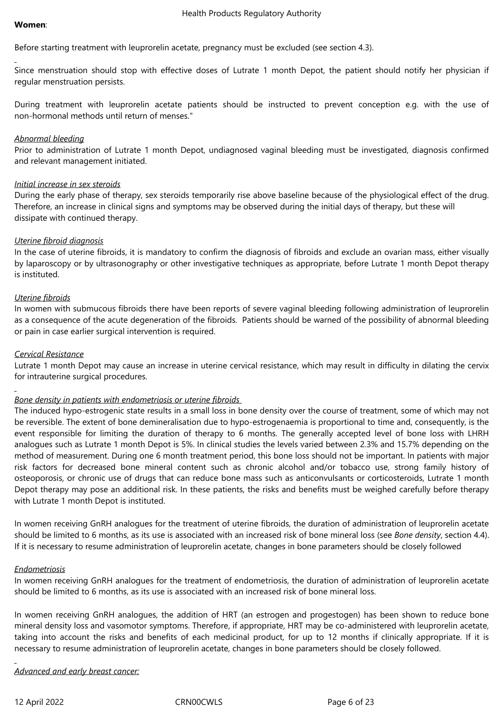Before starting treatment with leuprorelin acetate, pregnancy must be excluded (see section 4.3).

Since menstruation should stop with effective doses of Lutrate 1 month Depot, the patient should notify her physician if regular menstruation persists.

During treatment with leuprorelin acetate patients should be instructed to prevent conception e.g. with the use of non-hormonal methods until return of menses."

#### *Abnormal bleeding*

Prior to administration of Lutrate 1 month Depot, undiagnosed vaginal bleeding must be investigated, diagnosis confirmed and relevant management initiated.

#### *Initial increase in sex steroids*

During the early phase of therapy, sex steroids temporarily rise above baseline because of the physiological effect of the drug. Therefore, an increase in clinical signs and symptoms may be observed during the initial days of therapy, but these will dissipate with continued therapy.

## *Uterine fibroid diagnosis*

In the case of uterine fibroids, it is mandatory to confirm the diagnosis of fibroids and exclude an ovarian mass, either visually by laparoscopy or by ultrasonography or other investigative techniques as appropriate, before Lutrate 1 month Depot therapy is instituted.

## *Uterine fibroids*

In women with submucous fibroids there have been reports of severe vaginal bleeding following administration of leuprorelin as a consequence of the acute degeneration of the fibroids. Patients should be warned of the possibility of abnormal bleeding or pain in case earlier surgical intervention is required.

## *Cervical Resistance*

Lutrate 1 month Depot may cause an increase in uterine cervical resistance, which may result in difficulty in dilating the cervix for intrauterine surgical procedures.

## *Bone density in patients with endometriosis or uterine fibroids*

The induced hypo-estrogenic state results in a small loss in bone density over the course of treatment, some of which may not be reversible. The extent of bone demineralisation due to hypo-estrogenaemia is proportional to time and, consequently, is the event responsible for limiting the duration of therapy to 6 months. The generally accepted level of bone loss with LHRH analogues such as Lutrate 1 month Depot is 5%. In clinical studies the levels varied between 2.3% and 15.7% depending on the method of measurement. During one 6 month treatment period, this bone loss should not be important. In patients with major risk factors for decreased bone mineral content such as chronic alcohol and/or tobacco use, strong family history of osteoporosis, or chronic use of drugs that can reduce bone mass such as anticonvulsants or corticosteroids, Lutrate 1 month Depot therapy may pose an additional risk. In these patients, the risks and benefits must be weighed carefully before therapy with Lutrate 1 month Depot is instituted.

In women receiving GnRH analogues for the treatment of uterine fibroids, the duration of administration of leuprorelin acetate should be limited to 6 months, as its use is associated with an increased risk of bone mineral loss (see *Bone density*, section 4.4). If it is necessary to resume administration of leuprorelin acetate, changes in bone parameters should be closely followed

## *Endometriosis*

In women receiving GnRH analogues for the treatment of endometriosis, the duration of administration of leuprorelin acetate should be limited to 6 months, as its use is associated with an increased risk of bone mineral loss.

In women receiving GnRH analogues, the addition of HRT (an estrogen and progestogen) has been shown to reduce bone mineral density loss and vasomotor symptoms. Therefore, if appropriate, HRT may be co-administered with leuprorelin acetate, taking into account the risks and benefits of each medicinal product, for up to 12 months if clinically appropriate. If it is necessary to resume administration of leuprorelin acetate, changes in bone parameters should be closely followed.

*Advanced and early breast cancer:*

12 April 2022 CRN00CWLS Page 6 of 23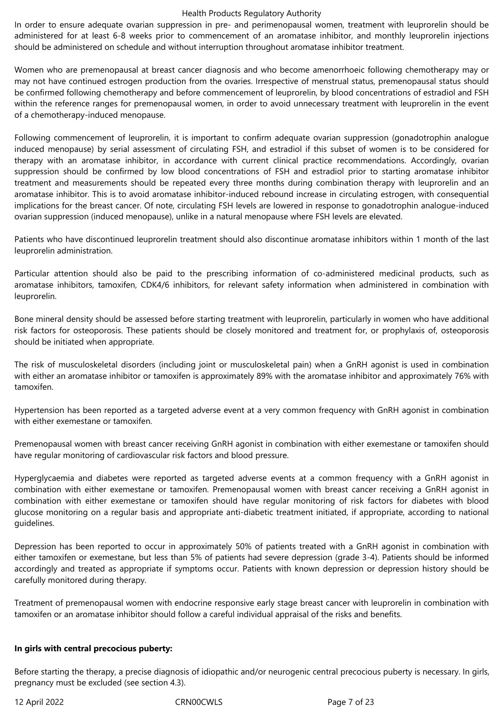In order to ensure adequate ovarian suppression in pre- and perimenopausal women, treatment with leuprorelin should be administered for at least 6-8 weeks prior to commencement of an aromatase inhibitor, and monthly leuprorelin injections should be administered on schedule and without interruption throughout aromatase inhibitor treatment.

Women who are premenopausal at breast cancer diagnosis and who become amenorrhoeic following chemotherapy may or may not have continued estrogen production from the ovaries. Irrespective of menstrual status, premenopausal status should be confirmed following chemotherapy and before commencement of leuprorelin, by blood concentrations of estradiol and FSH within the reference ranges for premenopausal women, in order to avoid unnecessary treatment with leuprorelin in the event of a chemotherapy-induced menopause.

Following commencement of leuprorelin, it is important to confirm adequate ovarian suppression (gonadotrophin analogue induced menopause) by serial assessment of circulating FSH, and estradiol if this subset of women is to be considered for therapy with an aromatase inhibitor, in accordance with current clinical practice recommendations. Accordingly, ovarian suppression should be confirmed by low blood concentrations of FSH and estradiol prior to starting aromatase inhibitor treatment and measurements should be repeated every three months during combination therapy with leuprorelin and an aromatase inhibitor. This is to avoid aromatase inhibitor-induced rebound increase in circulating estrogen, with consequential implications for the breast cancer. Of note, circulating FSH levels are lowered in response to gonadotrophin analogue-induced ovarian suppression (induced menopause), unlike in a natural menopause where FSH levels are elevated.

Patients who have discontinued leuprorelin treatment should also discontinue aromatase inhibitors within 1 month of the last leuprorelin administration.

Particular attention should also be paid to the prescribing information of co-administered medicinal products, such as aromatase inhibitors, tamoxifen, CDK4/6 inhibitors, for relevant safety information when administered in combination with leuprorelin.

Bone mineral density should be assessed before starting treatment with leuprorelin, particularly in women who have additional risk factors for osteoporosis. These patients should be closely monitored and treatment for, or prophylaxis of, osteoporosis should be initiated when appropriate.

The risk of musculoskeletal disorders (including joint or musculoskeletal pain) when a GnRH agonist is used in combination with either an aromatase inhibitor or tamoxifen is approximately 89% with the aromatase inhibitor and approximately 76% with tamoxifen.

Hypertension has been reported as a targeted adverse event at a very common frequency with GnRH agonist in combination with either exemestane or tamoxifen.

Premenopausal women with breast cancer receiving GnRH agonist in combination with either exemestane or tamoxifen should have regular monitoring of cardiovascular risk factors and blood pressure.

Hyperglycaemia and diabetes were reported as targeted adverse events at a common frequency with a GnRH agonist in combination with either exemestane or tamoxifen. Premenopausal women with breast cancer receiving a GnRH agonist in combination with either exemestane or tamoxifen should have regular monitoring of risk factors for diabetes with blood glucose monitoring on a regular basis and appropriate anti-diabetic treatment initiated, if appropriate, according to national guidelines.

Depression has been reported to occur in approximately 50% of patients treated with a GnRH agonist in combination with either tamoxifen or exemestane, but less than 5% of patients had severe depression (grade 3-4). Patients should be informed accordingly and treated as appropriate if symptoms occur. Patients with known depression or depression history should be carefully monitored during therapy.

Treatment of premenopausal women with endocrine responsive early stage breast cancer with leuprorelin in combination with tamoxifen or an aromatase inhibitor should follow a careful individual appraisal of the risks and benefits.

## **In girls with central precocious puberty:**

Before starting the therapy, a precise diagnosis of idiopathic and/or neurogenic central precocious puberty is necessary. In girls, pregnancy must be excluded (see section 4.3).

12 April 2022 CRN00CWLS Page 7 of 23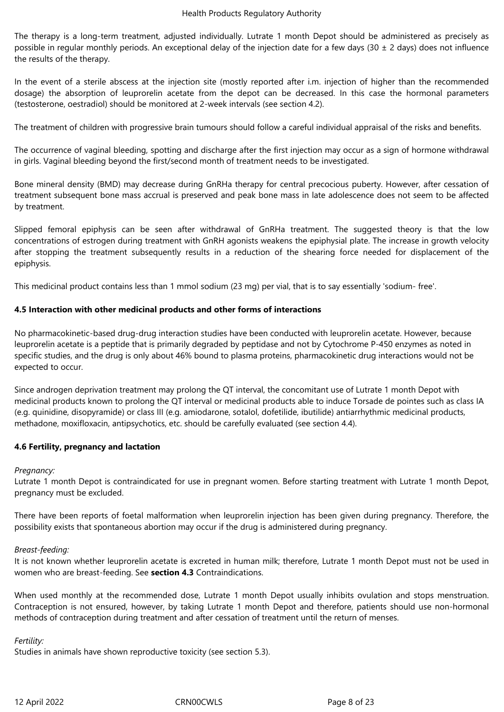The therapy is a long-term treatment, adjusted individually. Lutrate 1 month Depot should be administered as precisely as possible in regular monthly periods. An exceptional delay of the injection date for a few days (30  $\pm$  2 days) does not influence the results of the therapy.

In the event of a sterile abscess at the injection site (mostly reported after i.m. injection of higher than the recommended dosage) the absorption of leuprorelin acetate from the depot can be decreased. In this case the hormonal parameters (testosterone, oestradiol) should be monitored at 2-week intervals (see section 4.2).

The treatment of children with progressive brain tumours should follow a careful individual appraisal of the risks and benefits.

The occurrence of vaginal bleeding, spotting and discharge after the first injection may occur as a sign of hormone withdrawal in girls. Vaginal bleeding beyond the first/second month of treatment needs to be investigated.

Bone mineral density (BMD) may decrease during GnRHa therapy for central precocious puberty. However, after cessation of treatment subsequent bone mass accrual is preserved and peak bone mass in late adolescence does not seem to be affected by treatment.

Slipped femoral epiphysis can be seen after withdrawal of GnRHa treatment. The suggested theory is that the low concentrations of estrogen during treatment with GnRH agonists weakens the epiphysial plate. The increase in growth velocity after stopping the treatment subsequently results in a reduction of the shearing force needed for displacement of the epiphysis.

This medicinal product contains less than 1 mmol sodium (23 mg) per vial, that is to say essentially 'sodium- free'.

## **4.5 Interaction with other medicinal products and other forms of interactions**

No pharmacokinetic-based drug-drug interaction studies have been conducted with leuprorelin acetate. However, because leuprorelin acetate is a peptide that is primarily degraded by peptidase and not by Cytochrome P-450 enzymes as noted in specific studies, and the drug is only about 46% bound to plasma proteins, pharmacokinetic drug interactions would not be expected to occur.

Since androgen deprivation treatment may prolong the QT interval, the concomitant use of Lutrate 1 month Depot with medicinal products known to prolong the QT interval or medicinal products able to induce Torsade de pointes such as class IA (e.g. quinidine, disopyramide) or class III (e.g. amiodarone, sotalol, dofetilide, ibutilide) antiarrhythmic medicinal products, methadone, moxifloxacin, antipsychotics, etc. should be carefully evaluated (see section 4.4).

## **4.6 Fertility, pregnancy and lactation**

## *Pregnancy:*

Lutrate 1 month Depot is contraindicated for use in pregnant women. Before starting treatment with Lutrate 1 month Depot, pregnancy must be excluded.

There have been reports of foetal malformation when leuprorelin injection has been given during pregnancy. Therefore, the possibility exists that spontaneous abortion may occur if the drug is administered during pregnancy.

## *Breast-feeding:*

It is not known whether leuprorelin acetate is excreted in human milk; therefore, Lutrate 1 month Depot must not be used in women who are breast-feeding. See **section 4.3** Contraindications.

When used monthly at the recommended dose, Lutrate 1 month Depot usually inhibits ovulation and stops menstruation. Contraception is not ensured, however, by taking Lutrate 1 month Depot and therefore, patients should use non-hormonal methods of contraception during treatment and after cessation of treatment until the return of menses.

## *Fertility:*

Studies in animals have shown reproductive toxicity (see section 5.3).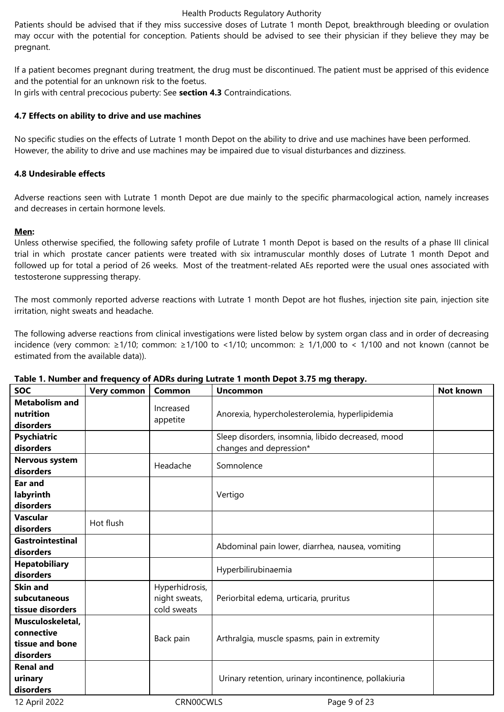Patients should be advised that if they miss successive doses of Lutrate 1 month Depot, breakthrough bleeding or ovulation may occur with the potential for conception. Patients should be advised to see their physician if they believe they may be pregnant.

If a patient becomes pregnant during treatment, the drug must be discontinued. The patient must be apprised of this evidence and the potential for an unknown risk to the foetus.

In girls with central precocious puberty: See **section 4.3** Contraindications.

## **4.7 Effects on ability to drive and use machines**

No specific studies on the effects of Lutrate 1 month Depot on the ability to drive and use machines have been performed. However, the ability to drive and use machines may be impaired due to visual disturbances and dizziness.

## **4.8 Undesirable effects**

Adverse reactions seen with Lutrate 1 month Depot are due mainly to the specific pharmacological action, namely increases and decreases in certain hormone levels.

## **Men:**

Unless otherwise specified, the following safety profile of Lutrate 1 month Depot is based on the results of a phase III clinical trial in which prostate cancer patients were treated with six intramuscular monthly doses of Lutrate 1 month Depot and followed up for total a period of 26 weeks. Most of the treatment-related AEs reported were the usual ones associated with testosterone suppressing therapy.

The most commonly reported adverse reactions with Lutrate 1 month Depot are hot flushes, injection site pain, injection site irritation, night sweats and headache.

The following adverse reactions from clinical investigations were listed below by system organ class and in order of decreasing incidence (very common: ≥1/10; common: ≥1/100 to <1/10; uncommon: ≥ 1/1,000 to < 1/100 and not known (cannot be estimated from the available data)).

| <b>SOC</b>              | <b>Very common</b> | <b>Common</b>  | $\frac{1}{2}$ . Namber and requency of ADRs daring Eau atc T month Depot 5.15 mg therapy.<br><b>Uncommon</b> | Not known |
|-------------------------|--------------------|----------------|--------------------------------------------------------------------------------------------------------------|-----------|
| <b>Metabolism and</b>   |                    |                |                                                                                                              |           |
|                         |                    | Increased      |                                                                                                              |           |
| nutrition               |                    | appetite       | Anorexia, hypercholesterolemia, hyperlipidemia                                                               |           |
| disorders               |                    |                |                                                                                                              |           |
| <b>Psychiatric</b>      |                    |                | Sleep disorders, insomnia, libido decreased, mood                                                            |           |
| disorders               |                    |                | changes and depression*                                                                                      |           |
| Nervous system          |                    |                |                                                                                                              |           |
| disorders               |                    | Headache       | Somnolence                                                                                                   |           |
| <b>Ear and</b>          |                    |                |                                                                                                              |           |
| labyrinth               |                    |                | Vertigo                                                                                                      |           |
| disorders               |                    |                |                                                                                                              |           |
| <b>Vascular</b>         | Hot flush          |                |                                                                                                              |           |
| disorders               |                    |                |                                                                                                              |           |
| <b>Gastrointestinal</b> |                    |                | Abdominal pain lower, diarrhea, nausea, vomiting                                                             |           |
| disorders               |                    |                |                                                                                                              |           |
| <b>Hepatobiliary</b>    |                    |                | Hyperbilirubinaemia                                                                                          |           |
| disorders               |                    |                |                                                                                                              |           |
| <b>Skin and</b>         |                    | Hyperhidrosis, |                                                                                                              |           |
| subcutaneous            |                    | night sweats,  | Periorbital edema, urticaria, pruritus                                                                       |           |
| tissue disorders        |                    | cold sweats    |                                                                                                              |           |
| Musculoskeletal,        |                    |                |                                                                                                              |           |
| connective              |                    |                |                                                                                                              |           |
| tissue and bone         |                    | Back pain      | Arthralgia, muscle spasms, pain in extremity                                                                 |           |
| disorders               |                    |                |                                                                                                              |           |
| <b>Renal and</b>        |                    |                |                                                                                                              |           |
| urinary                 |                    |                | Urinary retention, urinary incontinence, pollakiuria                                                         |           |
| disorders               |                    |                |                                                                                                              |           |

## **Table 1. Number and frequency of ADRs during Lutrate 1 month Depot 3.75 mg therapy.**

12 April 2022 CRN00CWLS Page 9 of 23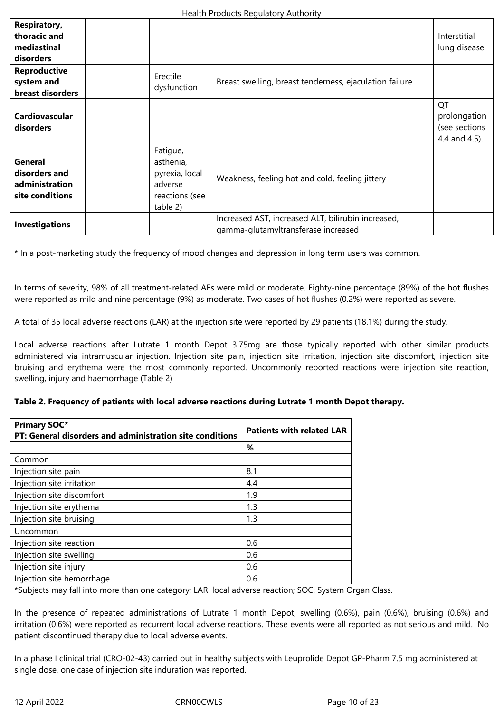| <b>Respiratory,</b><br>thoracic and<br>mediastinal<br>disorders      |                                                                                  |                                                                                           | Interstitial<br>lung disease                         |
|----------------------------------------------------------------------|----------------------------------------------------------------------------------|-------------------------------------------------------------------------------------------|------------------------------------------------------|
| <b>Reproductive</b><br>system and<br>breast disorders                | Erectile<br>dysfunction                                                          | Breast swelling, breast tenderness, ejaculation failure                                   |                                                      |
| <b>Cardiovascular</b><br>disorders                                   |                                                                                  |                                                                                           | QT<br>prolongation<br>(see sections<br>4.4 and 4.5). |
| <b>General</b><br>disorders and<br>administration<br>site conditions | Fatigue,<br>asthenia,<br>pyrexia, local<br>adverse<br>reactions (see<br>table 2) | Weakness, feeling hot and cold, feeling jittery                                           |                                                      |
| <b>Investigations</b>                                                |                                                                                  | Increased AST, increased ALT, bilirubin increased,<br>gamma-glutamyltransferase increased |                                                      |

\* In a post-marketing study the frequency of mood changes and depression in long term users was common.

In terms of severity, 98% of all treatment-related AEs were mild or moderate. Eighty-nine percentage (89%) of the hot flushes were reported as mild and nine percentage (9%) as moderate. Two cases of hot flushes (0.2%) were reported as severe.

A total of 35 local adverse reactions (LAR) at the injection site were reported by 29 patients (18.1%) during the study.

Local adverse reactions after Lutrate 1 month Depot 3.75mg are those typically reported with other similar products administered via intramuscular injection. Injection site pain, injection site irritation, injection site discomfort, injection site bruising and erythema were the most commonly reported. Uncommonly reported reactions were injection site reaction, swelling, injury and haemorrhage (Table 2)

| <b>Primary SOC*</b><br>PT: General disorders and administration site conditions | <b>Patients with related LAR</b> |
|---------------------------------------------------------------------------------|----------------------------------|
|                                                                                 | %                                |
| Common                                                                          |                                  |
| Injection site pain                                                             | 8.1                              |
| Injection site irritation                                                       | 4.4                              |
| Injection site discomfort                                                       | 1.9                              |
| Injection site erythema                                                         | 1.3                              |
| Injection site bruising                                                         | 1.3                              |
| Uncommon                                                                        |                                  |
| Injection site reaction                                                         | 0.6                              |
| Injection site swelling                                                         | 0.6                              |
| Injection site injury                                                           | 0.6                              |
| Injection site hemorrhage                                                       | 0.6                              |

|  |  |  | Table 2. Frequency of patients with local adverse reactions during Lutrate 1 month Depot therapy. |
|--|--|--|---------------------------------------------------------------------------------------------------|
|  |  |  |                                                                                                   |

\*Subjects may fall into more than one category; LAR: local adverse reaction; SOC: System Organ Class.

In the presence of repeated administrations of Lutrate 1 month Depot, swelling (0.6%), pain (0.6%), bruising (0.6%) and irritation (0.6%) were reported as recurrent local adverse reactions. These events were all reported as not serious and mild. No patient discontinued therapy due to local adverse events.

In a phase I clinical trial (CRO-02-43) carried out in healthy subjects with Leuprolide Depot GP-Pharm 7.5 mg administered at single dose, one case of injection site induration was reported.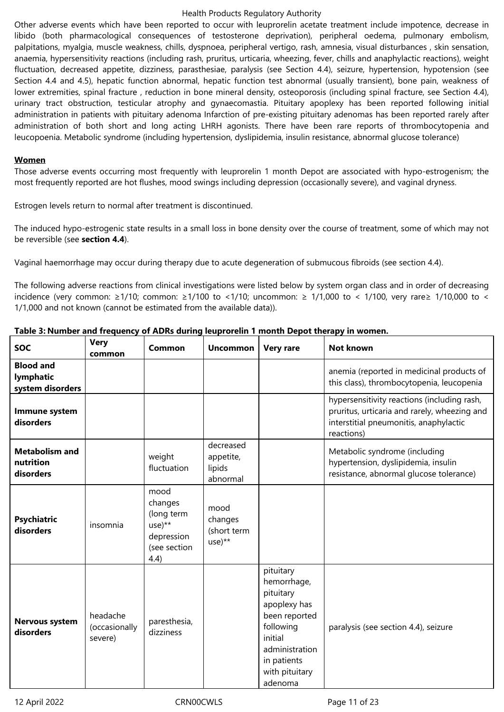Other adverse events which have been reported to occur with leuprorelin acetate treatment include impotence, decrease in libido (both pharmacological consequences of testosterone deprivation), peripheral oedema, pulmonary embolism, palpitations, myalgia, muscle weakness, chills, dyspnoea, peripheral vertigo, rash, amnesia, visual disturbances , skin sensation, anaemia, hypersensitivity reactions (including rash, pruritus, urticaria, wheezing, fever, chills and anaphylactic reactions), weight fluctuation, decreased appetite, dizziness, parasthesiae, paralysis (see Section 4.4), seizure, hypertension, hypotension (see Section 4.4 and 4.5), hepatic function abnormal, hepatic function test abnormal (usually transient), bone pain, weakness of lower extremities, spinal fracture , reduction in bone mineral density, osteoporosis (including spinal fracture, see Section 4.4), urinary tract obstruction, testicular atrophy and gynaecomastia. Pituitary apoplexy has been reported following initial administration in patients with pituitary adenoma Infarction of pre-existing pituitary adenomas has been reported rarely after administration of both short and long acting LHRH agonists. There have been rare reports of thrombocytopenia and leucopoenia. Metabolic syndrome (including hypertension, dyslipidemia, insulin resistance, abnormal glucose tolerance)

#### **Women**

Those adverse events occurring most frequently with leuprorelin 1 month Depot are associated with hypo-estrogenism; the most frequently reported are hot flushes, mood swings including depression (occasionally severe), and vaginal dryness.

Estrogen levels return to normal after treatment is discontinued.

The induced hypo-estrogenic state results in a small loss in bone density over the course of treatment, some of which may not be reversible (see **section 4.4**).

Vaginal haemorrhage may occur during therapy due to acute degeneration of submucous fibroids (see section 4.4).

The following adverse reactions from clinical investigations were listed below by system organ class and in order of decreasing incidence (very common: ≥1/10; common: ≥1/100 to <1/10; uncommon: ≥ 1/1,000 to < 1/100, very rare≥ 1/10,000 to < 1/1,000 and not known (cannot be estimated from the available data)).

| <b>SOC</b>                                        | <b>Very</b><br>common                | Common                                                                          | <b>Uncommon</b>                              | <b>Very rare</b>                                                                                                                                             | <b>Not known</b>                                                                                                                                    |
|---------------------------------------------------|--------------------------------------|---------------------------------------------------------------------------------|----------------------------------------------|--------------------------------------------------------------------------------------------------------------------------------------------------------------|-----------------------------------------------------------------------------------------------------------------------------------------------------|
| <b>Blood and</b><br>lymphatic<br>system disorders |                                      |                                                                                 |                                              |                                                                                                                                                              | anemia (reported in medicinal products of<br>this class), thrombocytopenia, leucopenia                                                              |
| Immune system<br>disorders                        |                                      |                                                                                 |                                              |                                                                                                                                                              | hypersensitivity reactions (including rash,<br>pruritus, urticaria and rarely, wheezing and<br>interstitial pneumonitis, anaphylactic<br>reactions) |
| <b>Metabolism and</b><br>nutrition<br>disorders   |                                      | weight<br>fluctuation                                                           | decreased<br>appetite,<br>lipids<br>abnormal |                                                                                                                                                              | Metabolic syndrome (including<br>hypertension, dyslipidemia, insulin<br>resistance, abnormal glucose tolerance)                                     |
| <b>Psychiatric</b><br>disorders                   | insomnia                             | mood<br>changes<br>(long term<br>$use)**$<br>depression<br>(see section<br>4.4) | mood<br>changes<br>(short term<br>$use)**$   |                                                                                                                                                              |                                                                                                                                                     |
| <b>Nervous system</b><br>disorders                | headache<br>(occasionally<br>severe) | paresthesia,<br>dizziness                                                       |                                              | pituitary<br>hemorrhage,<br>pituitary<br>apoplexy has<br>been reported<br>following<br>initial<br>administration<br>in patients<br>with pituitary<br>adenoma | paralysis (see section 4.4), seizure                                                                                                                |

## **Table 3: Number and frequency of ADRs during leuprorelin 1 month Depot therapy in women.**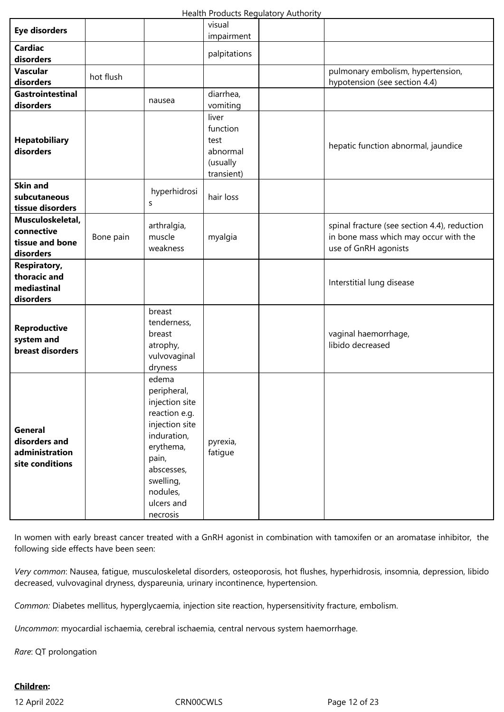| <b>Eye disorders</b>                                                 |           |                                                                                                                                                                                 | visual<br>impairment                                            |                                                                                                               |
|----------------------------------------------------------------------|-----------|---------------------------------------------------------------------------------------------------------------------------------------------------------------------------------|-----------------------------------------------------------------|---------------------------------------------------------------------------------------------------------------|
| <b>Cardiac</b><br>disorders                                          |           |                                                                                                                                                                                 | palpitations                                                    |                                                                                                               |
| <b>Vascular</b><br>disorders                                         | hot flush |                                                                                                                                                                                 |                                                                 | pulmonary embolism, hypertension,<br>hypotension (see section 4.4)                                            |
| Gastrointestinal<br>disorders                                        |           | nausea                                                                                                                                                                          | diarrhea,<br>vomiting                                           |                                                                                                               |
| <b>Hepatobiliary</b><br>disorders                                    |           |                                                                                                                                                                                 | liver<br>function<br>test<br>abnormal<br>(usually<br>transient) | hepatic function abnormal, jaundice                                                                           |
| <b>Skin and</b><br>subcutaneous<br>tissue disorders                  |           | hyperhidrosi<br>S                                                                                                                                                               | hair loss                                                       |                                                                                                               |
| Musculoskeletal,<br>connective<br>tissue and bone<br>disorders       | Bone pain | arthralgia,<br>muscle<br>weakness                                                                                                                                               | myalgia                                                         | spinal fracture (see section 4.4), reduction<br>in bone mass which may occur with the<br>use of GnRH agonists |
| <b>Respiratory,</b><br>thoracic and<br>mediastinal<br>disorders      |           |                                                                                                                                                                                 |                                                                 | Interstitial lung disease                                                                                     |
| <b>Reproductive</b><br>system and<br>breast disorders                |           | breast<br>tenderness,<br>breast<br>atrophy,<br>vulvovaginal<br>dryness                                                                                                          |                                                                 | vaginal haemorrhage,<br>libido decreased                                                                      |
| <b>General</b><br>disorders and<br>administration<br>site conditions |           | edema<br>peripheral,<br>injection site<br>reaction e.g.<br>injection site<br>induration,<br>erythema,<br>pain,<br>abscesses,<br>swelling,<br>nodules,<br>ulcers and<br>necrosis | pyrexia,<br>fatigue                                             |                                                                                                               |

In women with early breast cancer treated with a GnRH agonist in combination with tamoxifen or an aromatase inhibitor, the following side effects have been seen:

*Very common*: Nausea, fatigue, musculoskeletal disorders, osteoporosis, hot flushes, hyperhidrosis, insomnia, depression, libido decreased, vulvovaginal dryness, dyspareunia, urinary incontinence, hypertension.

*Common:* Diabetes mellitus, hyperglycaemia, injection site reaction, hypersensitivity fracture, embolism.

*Uncommon*: myocardial ischaemia, cerebral ischaemia, central nervous system haemorrhage.

*Rare*: QT prolongation

# **Children:**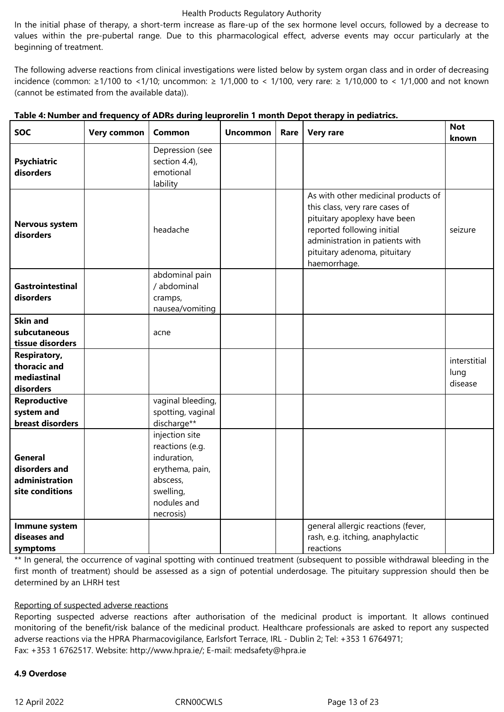In the initial phase of therapy, a short-term increase as flare-up of the sex hormone level occurs, followed by a decrease to values within the pre-pubertal range. Due to this pharmacological effect, adverse events may occur particularly at the beginning of treatment.

The following adverse reactions from clinical investigations were listed below by system organ class and in order of decreasing incidence (common: ≥1/100 to <1/10; uncommon: ≥ 1/1,000 to < 1/100, very rare: ≥ 1/10,000 to < 1/1,000 and not known (cannot be estimated from the available data)).

| <b>SOC</b>                                                           | Very common | Common                                                                                                                   | <b>Uncommon</b> | Rare | <b>Very rare</b>                                                                                                                                                                                                       | <b>Not</b><br>known             |
|----------------------------------------------------------------------|-------------|--------------------------------------------------------------------------------------------------------------------------|-----------------|------|------------------------------------------------------------------------------------------------------------------------------------------------------------------------------------------------------------------------|---------------------------------|
| <b>Psychiatric</b><br>disorders                                      |             | Depression (see<br>section 4.4),<br>emotional<br>lability                                                                |                 |      |                                                                                                                                                                                                                        |                                 |
| Nervous system<br>disorders                                          |             | headache                                                                                                                 |                 |      | As with other medicinal products of<br>this class, very rare cases of<br>pituitary apoplexy have been<br>reported following initial<br>administration in patients with<br>pituitary adenoma, pituitary<br>haemorrhage. | seizure                         |
| <b>Gastrointestinal</b><br>disorders                                 |             | abdominal pain<br>/ abdominal<br>cramps,<br>nausea/vomiting                                                              |                 |      |                                                                                                                                                                                                                        |                                 |
| <b>Skin and</b><br>subcutaneous<br>tissue disorders                  |             | acne                                                                                                                     |                 |      |                                                                                                                                                                                                                        |                                 |
| <b>Respiratory,</b><br>thoracic and<br>mediastinal<br>disorders      |             |                                                                                                                          |                 |      |                                                                                                                                                                                                                        | interstitial<br>lung<br>disease |
| <b>Reproductive</b><br>system and<br>breast disorders                |             | vaginal bleeding,<br>spotting, vaginal<br>discharge**                                                                    |                 |      |                                                                                                                                                                                                                        |                                 |
| <b>General</b><br>disorders and<br>administration<br>site conditions |             | injection site<br>reactions (e.g.<br>induration,<br>erythema, pain,<br>abscess,<br>swelling,<br>nodules and<br>necrosis) |                 |      |                                                                                                                                                                                                                        |                                 |
| Immune system<br>diseases and<br>symptoms                            |             |                                                                                                                          |                 |      | general allergic reactions (fever,<br>rash, e.g. itching, anaphylactic<br>reactions                                                                                                                                    |                                 |

|  |  |  | Table 4: Number and frequency of ADRs during leuprorelin 1 month Depot therapy in pediatrics. |
|--|--|--|-----------------------------------------------------------------------------------------------|
|  |  |  |                                                                                               |

\*\* In general, the occurrence of vaginal spotting with continued treatment (subsequent to possible withdrawal bleeding in the first month of treatment) should be assessed as a sign of potential underdosage. The pituitary suppression should then be determined by an LHRH test

# Reporting of suspected adverse reactions

Reporting suspected adverse reactions after authorisation of the medicinal product is important. It allows continued monitoring of the benefit/risk balance of the medicinal product. Healthcare professionals are asked to report any suspected adverse reactions via the HPRA Pharmacovigilance, Earlsfort Terrace, IRL - Dublin 2; Tel: +353 1 6764971; Fax: +353 1 6762517. Website: http://www.hpra.ie/; E-mail: medsafety@hpra.ie

## **4.9 Overdose**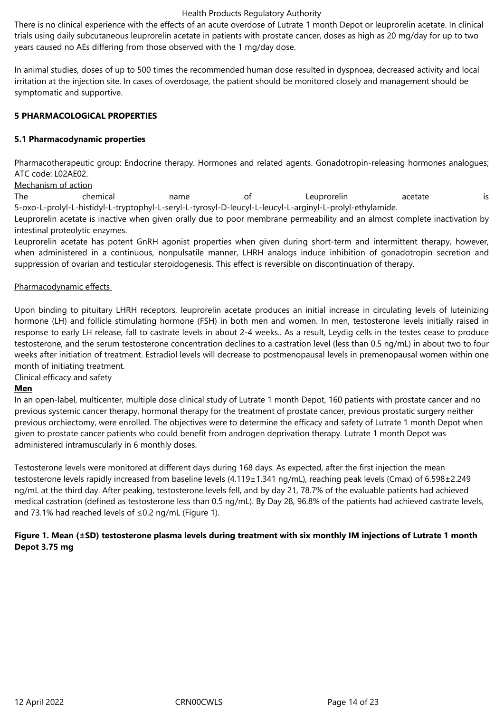There is no clinical experience with the effects of an acute overdose of Lutrate 1 month Depot or leuprorelin acetate. In clinical trials using daily subcutaneous leuprorelin acetate in patients with prostate cancer, doses as high as 20 mg/day for up to two years caused no AEs differing from those observed with the 1 mg/day dose.

In animal studies, doses of up to 500 times the recommended human dose resulted in dyspnoea, decreased activity and local irritation at the injection site. In cases of overdosage, the patient should be monitored closely and management should be symptomatic and supportive.

## **5 PHARMACOLOGICAL PROPERTIES**

## **5.1 Pharmacodynamic properties**

Pharmacotherapeutic group: Endocrine therapy. Hormones and related agents. Gonadotropin-releasing hormones analogues; ATC code: L02AE02.

Mechanism of action

The chemical name of Leuprorelin acetate is 5-oxo-L-prolyl-L-histidyl-L-tryptophyl-L-seryl-L-tyrosyl-D-leucyl-L-leucyl-L-arginyl-L-prolyl-ethylamide.

Leuprorelin acetate is inactive when given orally due to poor membrane permeability and an almost complete inactivation by intestinal proteolytic enzymes.

Leuprorelin acetate has potent GnRH agonist properties when given during short-term and intermittent therapy, however, when administered in a continuous, nonpulsatile manner, LHRH analogs induce inhibition of gonadotropin secretion and suppression of ovarian and testicular steroidogenesis. This effect is reversible on discontinuation of therapy.

## Pharmacodynamic effects

Upon binding to pituitary LHRH receptors, leuprorelin acetate produces an initial increase in circulating levels of luteinizing hormone (LH) and follicle stimulating hormone (FSH) in both men and women. In men, testosterone levels initially raised in response to early LH release, fall to castrate levels in about 2-4 weeks.. As a result, Leydig cells in the testes cease to produce testosterone, and the serum testosterone concentration declines to a castration level (less than 0.5 ng/mL) in about two to four weeks after initiation of treatment. Estradiol levels will decrease to postmenopausal levels in premenopausal women within one month of initiating treatment.

Clinical efficacy and safety

## **Men**

In an open-label, multicenter, multiple dose clinical study of Lutrate 1 month Depot, 160 patients with prostate cancer and no previous systemic cancer therapy, hormonal therapy for the treatment of prostate cancer, previous prostatic surgery neither previous orchiectomy, were enrolled. The objectives were to determine the efficacy and safety of Lutrate 1 month Depot when given to prostate cancer patients who could benefit from androgen deprivation therapy. Lutrate 1 month Depot was administered intramuscularly in 6 monthly doses.

Testosterone levels were monitored at different days during 168 days. As expected, after the first injection the mean testosterone levels rapidly increased from baseline levels (4.119±1.341 ng/mL), reaching peak levels (Cmax) of 6.598±2.249 ng/mL at the third day. After peaking, testosterone levels fell, and by day 21, 78.7% of the evaluable patients had achieved medical castration (defined as testosterone less than 0.5 ng/mL). By Day 28, 96.8% of the patients had achieved castrate levels, and 73.1% had reached levels of ≤0.2 ng/mL (Figure 1).

## **Figure 1. Mean (±SD) testosterone plasma levels during treatment with six monthly IM injections of Lutrate 1 month Depot 3.75 mg**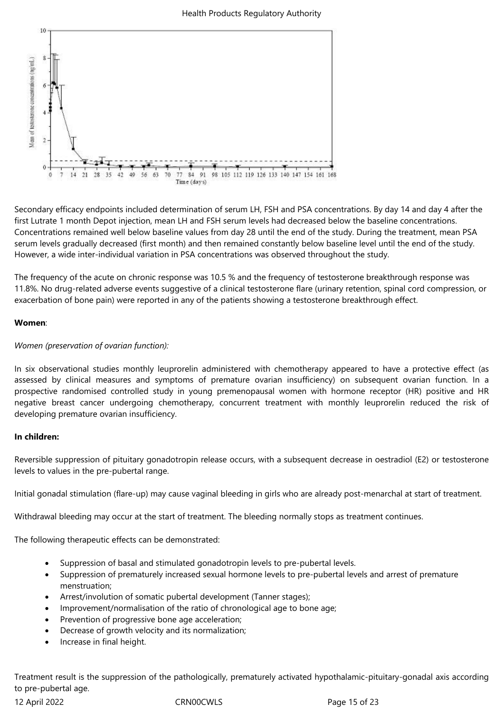

Secondary efficacy endpoints included determination of serum LH, FSH and PSA concentrations. By day 14 and day 4 after the first Lutrate 1 month Depot injection, mean LH and FSH serum levels had decreased below the baseline concentrations. Concentrations remained well below baseline values from day 28 until the end of the study. During the treatment, mean PSA serum levels gradually decreased (first month) and then remained constantly below baseline level until the end of the study. However, a wide inter-individual variation in PSA concentrations was observed throughout the study.

The frequency of the acute on chronic response was 10.5 % and the frequency of testosterone breakthrough response was 11.8%. No drug-related adverse events suggestive of a clinical testosterone flare (urinary retention, spinal cord compression, or exacerbation of bone pain) were reported in any of the patients showing a testosterone breakthrough effect.

## **Women**:

## *Women (preservation of ovarian function):*

In six observational studies monthly leuprorelin administered with chemotherapy appeared to have a protective effect (as assessed by clinical measures and symptoms of premature ovarian insufficiency) on subsequent ovarian function. In a prospective randomised controlled study in young premenopausal women with hormone receptor (HR) positive and HR negative breast cancer undergoing chemotherapy, concurrent treatment with monthly leuprorelin reduced the risk of developing premature ovarian insufficiency.

# **In children:**

Reversible suppression of pituitary gonadotropin release occurs, with a subsequent decrease in oestradiol (E2) or testosterone levels to values in the pre-pubertal range.

Initial gonadal stimulation (flare-up) may cause vaginal bleeding in girls who are already post-menarchal at start of treatment.

Withdrawal bleeding may occur at the start of treatment. The bleeding normally stops as treatment continues.

The following therapeutic effects can be demonstrated:

- Suppression of basal and stimulated gonadotropin levels to pre-pubertal levels.
- Suppression of prematurely increased sexual hormone levels to pre-pubertal levels and arrest of premature menstruation;
- Arrest/involution of somatic pubertal development (Tanner stages);
- Improvement/normalisation of the ratio of chronological age to bone age;
- Prevention of progressive bone age acceleration;
- Decrease of growth velocity and its normalization;
- Increase in final height.

Treatment result is the suppression of the pathologically, prematurely activated hypothalamic-pituitary-gonadal axis according to pre-pubertal age.

12 April 2022 CRN00CWLS Page 15 of 23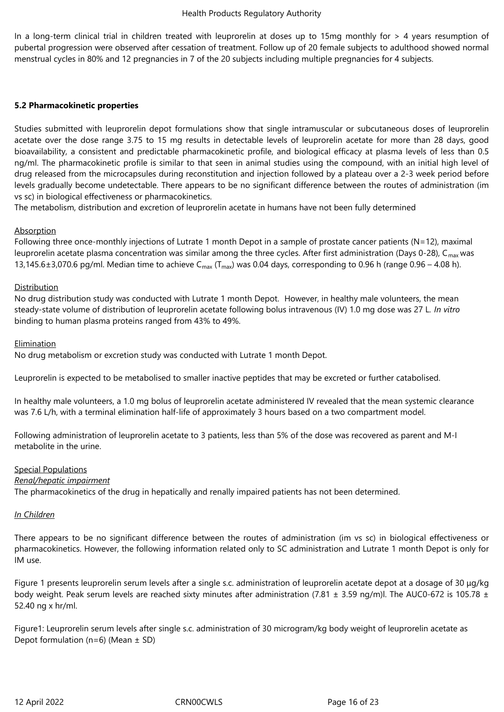In a long-term clinical trial in children treated with leuprorelin at doses up to 15mg monthly for > 4 years resumption of pubertal progression were observed after cessation of treatment. Follow up of 20 female subjects to adulthood showed normal menstrual cycles in 80% and 12 pregnancies in 7 of the 20 subjects including multiple pregnancies for 4 subjects.

## **5.2 Pharmacokinetic properties**

Studies submitted with leuprorelin depot formulations show that single intramuscular or subcutaneous doses of leuprorelin acetate over the dose range 3.75 to 15 mg results in detectable levels of leuprorelin acetate for more than 28 days, good bioavailability, a consistent and predictable pharmacokinetic profile, and biological efficacy at plasma levels of less than 0.5 ng/ml. The pharmacokinetic profile is similar to that seen in animal studies using the compound, with an initial high level of drug released from the microcapsules during reconstitution and injection followed by a plateau over a 2-3 week period before levels gradually become undetectable. There appears to be no significant difference between the routes of administration (im vs sc) in biological effectiveness or pharmacokinetics.

The metabolism, distribution and excretion of leuprorelin acetate in humans have not been fully determined

## Absorption

Following three once-monthly injections of Lutrate 1 month Depot in a sample of prostate cancer patients (N=12), maximal leuprorelin acetate plasma concentration was similar among the three cycles. After first administration (Days 0-28),  $C_{\text{max}}$  was 13,145.6 $\pm$ 3,070.6 pg/ml. Median time to achieve C<sub>max</sub> (T<sub>max</sub>) was 0.04 days, corresponding to 0.96 h (range 0.96 – 4.08 h).

## Distribution

No drug distribution study was conducted with Lutrate 1 month Depot. However, in healthy male volunteers, the mean steady-state volume of distribution of leuprorelin acetate following bolus intravenous (IV) 1.0 mg dose was 27 L. *In vitro* binding to human plasma proteins ranged from 43% to 49%.

## Elimination

No drug metabolism or excretion study was conducted with Lutrate 1 month Depot.

Leuprorelin is expected to be metabolised to smaller inactive peptides that may be excreted or further catabolised.

In healthy male volunteers, a 1.0 mg bolus of leuprorelin acetate administered IV revealed that the mean systemic clearance was 7.6 L/h, with a terminal elimination half-life of approximately 3 hours based on a two compartment model.

Following administration of leuprorelin acetate to 3 patients, less than 5% of the dose was recovered as parent and M-I metabolite in the urine.

## Special Populations

## *Renal/hepatic impairment*

The pharmacokinetics of the drug in hepatically and renally impaired patients has not been determined.

## *In Children*

There appears to be no significant difference between the routes of administration (im vs sc) in biological effectiveness or pharmacokinetics. However, the following information related only to SC administration and Lutrate 1 month Depot is only for IM use.

Figure 1 presents leuprorelin serum levels after a single s.c. administration of leuprorelin acetate depot at a dosage of 30 μg/kg body weight. Peak serum levels are reached sixty minutes after administration (7.81  $\pm$  3.59 ng/m)l. The AUC0-672 is 105.78  $\pm$ 52.40 ng x hr/ml.

Figure1: Leuprorelin serum levels after single s.c. administration of 30 microgram/kg body weight of leuprorelin acetate as Depot formulation (n=6) (Mean  $\pm$  SD)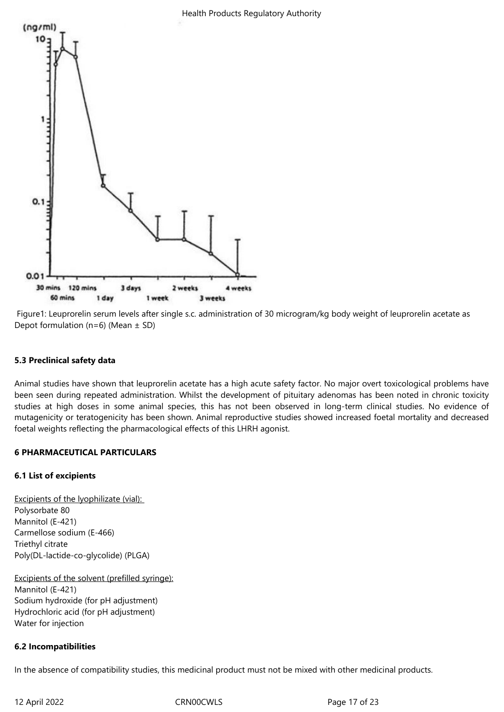

Figure1: Leuprorelin serum levels after single s.c. administration of 30 microgram/kg body weight of leuprorelin acetate as Depot formulation ( $n=6$ ) (Mean  $\pm$  SD)

## **5.3 Preclinical safety data**

Animal studies have shown that leuprorelin acetate has a high acute safety factor. No major overt toxicological problems have been seen during repeated administration. Whilst the development of pituitary adenomas has been noted in chronic toxicity studies at high doses in some animal species, this has not been observed in long-term clinical studies. No evidence of mutagenicity or teratogenicity has been shown. Animal reproductive studies showed increased foetal mortality and decreased foetal weights reflecting the pharmacological effects of this LHRH agonist.

## **6 PHARMACEUTICAL PARTICULARS**

## **6.1 List of excipients**

Excipients of the lyophilizate (vial): Polysorbate 80 Mannitol (E-421) Carmellose sodium (E-466) Triethyl citrate Poly(DL-lactide-co-glycolide) (PLGA)

Excipients of the solvent (prefilled syringe): Mannitol (E-421) Sodium hydroxide (for pH adjustment) Hydrochloric acid (for pH adjustment) Water for injection

# **6.2 Incompatibilities**

In the absence of compatibility studies, this medicinal product must not be mixed with other medicinal products.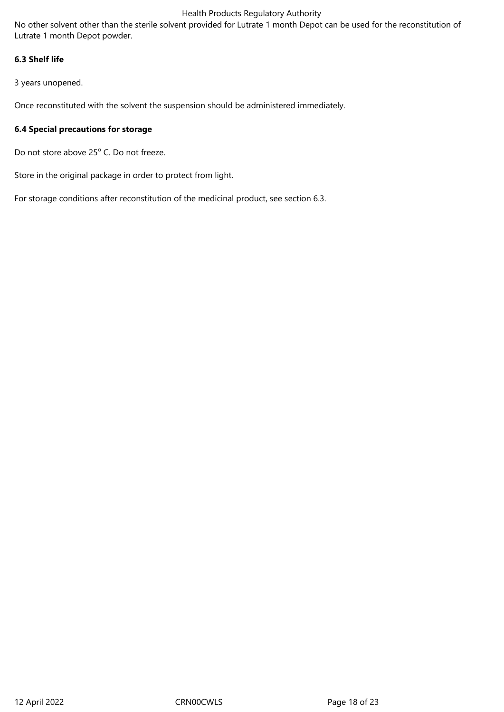No other solvent other than the sterile solvent provided for Lutrate 1 month Depot can be used for the reconstitution of Lutrate 1 month Depot powder.

# **6.3 Shelf life**

3 years unopened.

Once reconstituted with the solvent the suspension should be administered immediately.

## **6.4 Special precautions for storage**

Do not store above 25° C. Do not freeze.

Store in the original package in order to protect from light.

For storage conditions after reconstitution of the medicinal product, see section 6.3.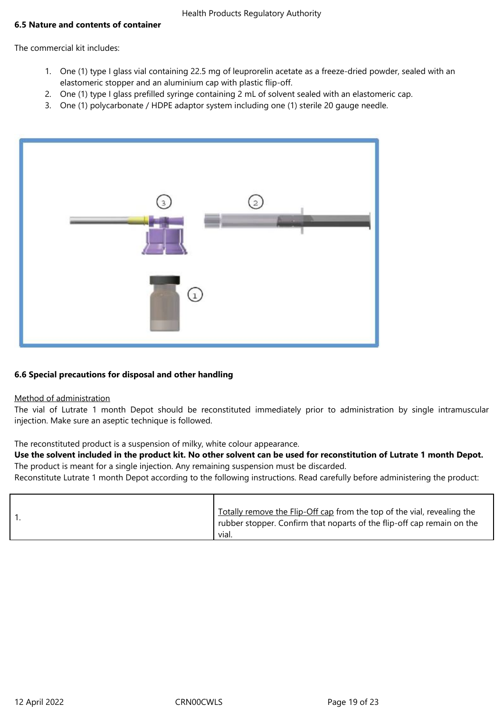## **6.5 Nature and contents of container**

The commercial kit includes:

- 1. One (1) type I glass vial containing 22.5 mg of leuprorelin acetate as a freeze-dried powder, sealed with an elastomeric stopper and an aluminium cap with plastic flip-off.
- 2. One (1) type I glass prefilled syringe containing 2 mL of solvent sealed with an elastomeric cap.
- 3. One (1) polycarbonate / HDPE adaptor system including one (1) sterile 20 gauge needle.



## **6.6 Special precautions for disposal and other handling**

## Method of administration

The vial of Lutrate 1 month Depot should be reconstituted immediately prior to administration by single intramuscular injection. Make sure an aseptic technique is followed.

The reconstituted product is a suspension of milky, white colour appearance.

**Use the solvent included in the product kit. No other solvent can be used for reconstitution of Lutrate 1 month Depot.** The product is meant for a single injection. Any remaining suspension must be discarded.

Reconstitute Lutrate 1 month Depot according to the following instructions. Read carefully before administering the product:

|  | vial. | Totally remove the Flip-Off cap from the top of the vial, revealing the<br>rubber stopper. Confirm that noparts of the flip-off cap remain on the |
|--|-------|---------------------------------------------------------------------------------------------------------------------------------------------------|
|--|-------|---------------------------------------------------------------------------------------------------------------------------------------------------|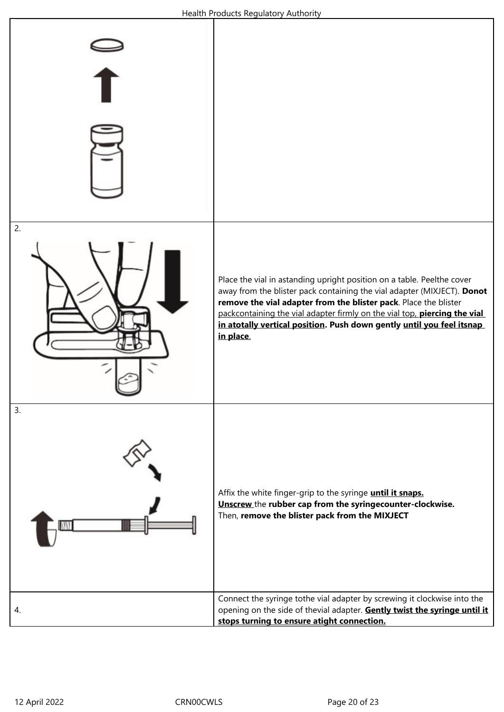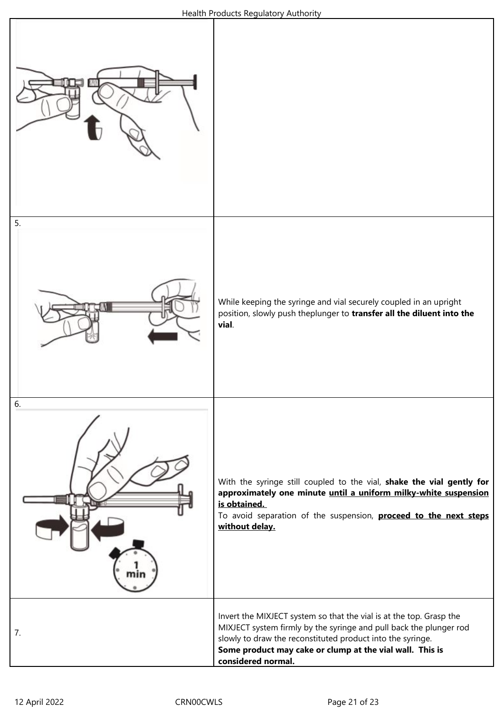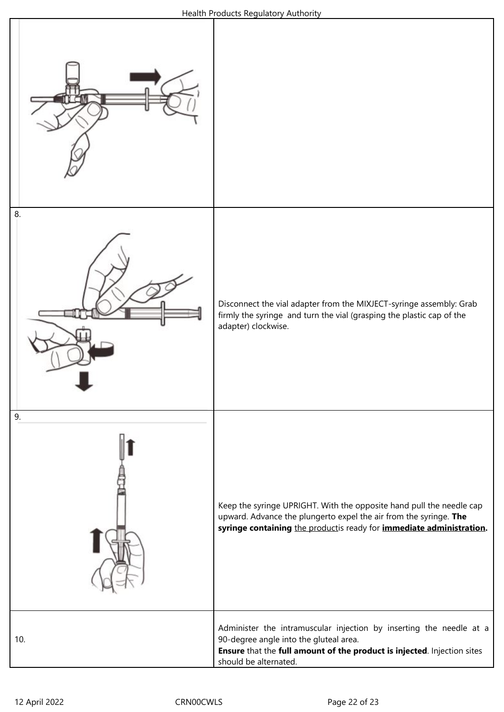![](_page_21_Figure_1.jpeg)